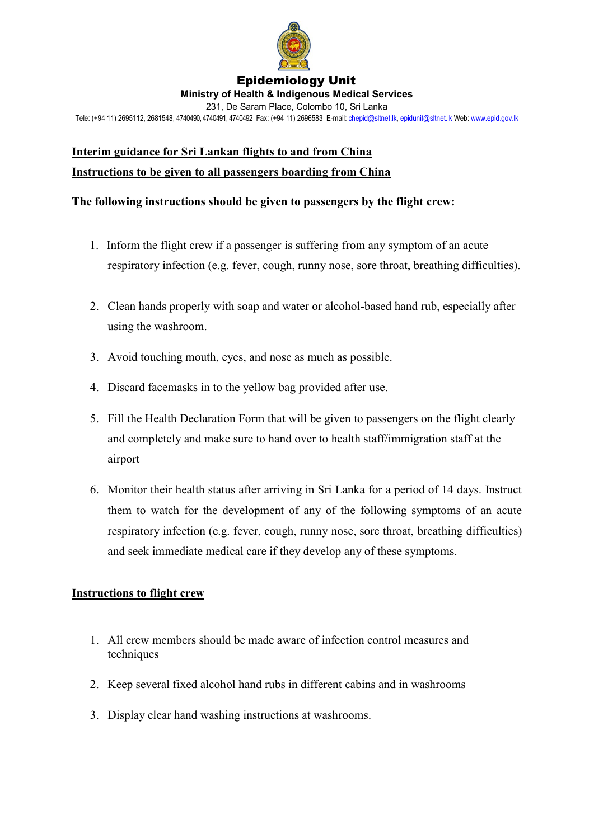

#### Epidemiology Unit **Ministry of Health & Indigenous Medical Services** 231, De Saram Place, Colombo 10, Sri Lanka Tele: (+94 11) 2695112, 2681548, 4740490, 4740491, 4740492 Fax: (+94 11) 2696583 E-mail[: chepid@sltnet.lk,](mailto:chepi@sltnet.lk) [epidunit@sltnet.lk](mailto:epidunit@sltnet.lk) Web[: www.epid.gov.lk](http://www.epid.gov.lk/)

# **Interim guidance for Sri Lankan flights to and from China Instructions to be given to all passengers boarding from China**

## **The following instructions should be given to passengers by the flight crew:**

- 1. Inform the flight crew if a passenger is suffering from any symptom of an acute respiratory infection (e.g. fever, cough, runny nose, sore throat, breathing difficulties).
- 2. Clean hands properly with soap and water or alcohol-based hand rub, especially after using the washroom.
- 3. Avoid touching mouth, eyes, and nose as much as possible.
- 4. Discard facemasks in to the yellow bag provided after use.
- 5. Fill the Health Declaration Form that will be given to passengers on the flight clearly and completely and make sure to hand over to health staff/immigration staff at the airport
- 6. Monitor their health status after arriving in Sri Lanka for a period of 14 days. Instruct them to watch for the development of any of the following symptoms of an acute respiratory infection (e.g. fever, cough, runny nose, sore throat, breathing difficulties) and seek immediate medical care if they develop any of these symptoms.

## **Instructions to flight crew**

- 1. All crew members should be made aware of infection control measures and techniques
- 2. Keep several fixed alcohol hand rubs in different cabins and in washrooms
- 3. Display clear hand washing instructions at washrooms.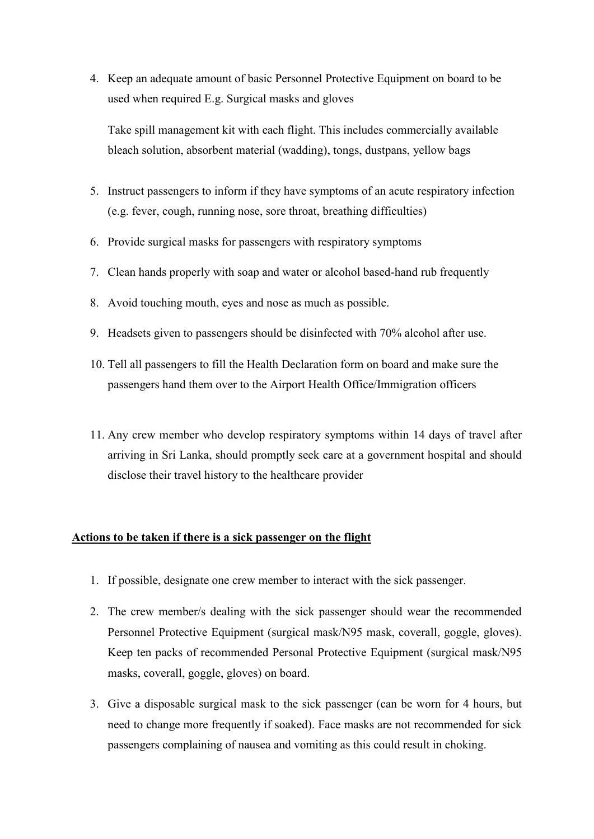4. Keep an adequate amount of basic Personnel Protective Equipment on board to be used when required E.g. Surgical masks and gloves

Take spill management kit with each flight. This includes commercially available bleach solution, absorbent material (wadding), tongs, dustpans, yellow bags

- 5. Instruct passengers to inform if they have symptoms of an acute respiratory infection (e.g. fever, cough, running nose, sore throat, breathing difficulties)
- 6. Provide surgical masks for passengers with respiratory symptoms
- 7. Clean hands properly with soap and water or alcohol based-hand rub frequently
- 8. Avoid touching mouth, eyes and nose as much as possible.
- 9. Headsets given to passengers should be disinfected with 70% alcohol after use.
- 10. Tell all passengers to fill the Health Declaration form on board and make sure the passengers hand them over to the Airport Health Office/Immigration officers
- 11. Any crew member who develop respiratory symptoms within 14 days of travel after arriving in Sri Lanka, should promptly seek care at a government hospital and should disclose their travel history to the healthcare provider

#### **Actions to be taken if there is a sick passenger on the flight**

- 1. If possible, designate one crew member to interact with the sick passenger.
- 2. The crew member/s dealing with the sick passenger should wear the recommended Personnel Protective Equipment (surgical mask/N95 mask, coverall, goggle, gloves). Keep ten packs of recommended Personal Protective Equipment (surgical mask/N95 masks, coverall, goggle, gloves) on board.
- 3. Give a disposable surgical mask to the sick passenger (can be worn for 4 hours, but need to change more frequently if soaked). Face masks are not recommended for sick passengers complaining of nausea and vomiting as this could result in choking.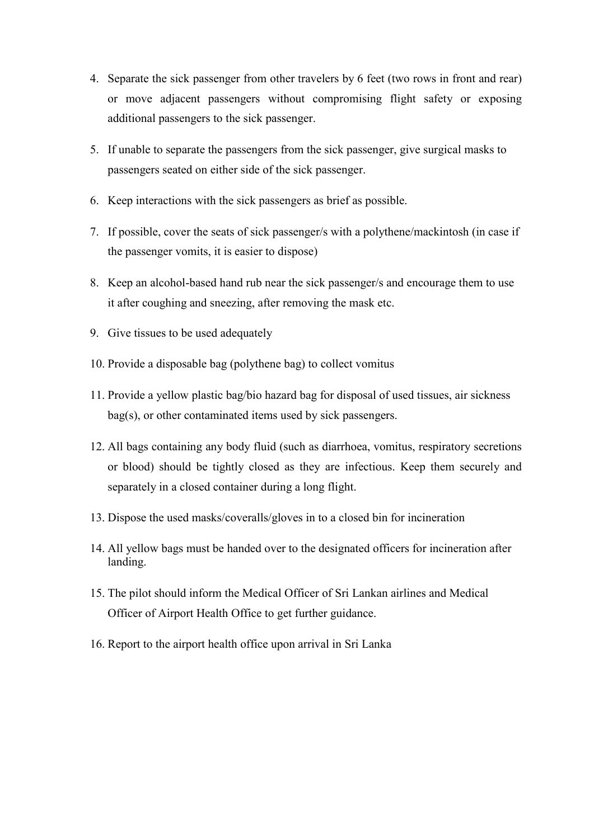- 4. Separate the sick passenger from other travelers by 6 feet (two rows in front and rear) or move adjacent passengers without compromising flight safety or exposing additional passengers to the sick passenger.
- 5. If unable to separate the passengers from the sick passenger, give surgical masks to passengers seated on either side of the sick passenger.
- 6. Keep interactions with the sick passengers as brief as possible.
- 7. If possible, cover the seats of sick passenger/s with a polythene/mackintosh (in case if the passenger vomits, it is easier to dispose)
- 8. Keep an alcohol-based hand rub near the sick passenger/s and encourage them to use it after coughing and sneezing, after removing the mask etc.
- 9. Give tissues to be used adequately
- 10. Provide a disposable bag (polythene bag) to collect vomitus
- 11. Provide a yellow plastic bag/bio hazard bag for disposal of used tissues, air sickness bag(s), or other contaminated items used by sick passengers.
- 12. All bags containing any body fluid (such as diarrhoea, vomitus, respiratory secretions or blood) should be tightly closed as they are infectious. Keep them securely and separately in a closed container during a long flight.
- 13. Dispose the used masks/coveralls/gloves in to a closed bin for incineration
- 14. All yellow bags must be handed over to the designated officers for incineration after landing.
- 15. The pilot should inform the Medical Officer of Sri Lankan airlines and Medical Officer of Airport Health Office to get further guidance.
- 16. Report to the airport health office upon arrival in Sri Lanka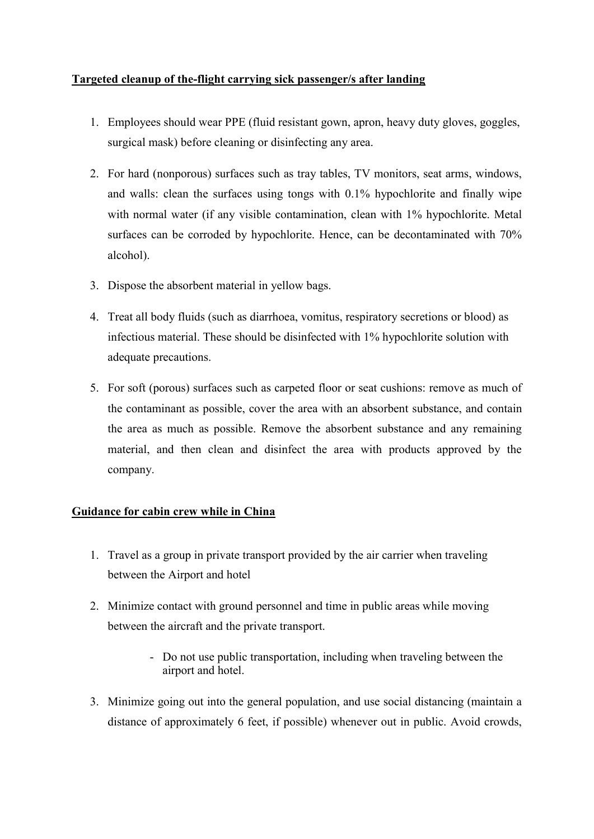## **Targeted cleanup of the-flight carrying sick passenger/s after landing**

- 1. Employees should wear PPE (fluid resistant gown, apron, heavy duty gloves, goggles, surgical mask) before cleaning or disinfecting any area.
- 2. For hard (nonporous) surfaces such as tray tables, TV monitors, seat arms, windows, and walls: clean the surfaces using tongs with 0.1% hypochlorite and finally wipe with normal water (if any visible contamination, clean with 1% hypochlorite. Metal surfaces can be corroded by hypochlorite. Hence, can be decontaminated with 70% alcohol).
- 3. Dispose the absorbent material in yellow bags.
- 4. Treat all body fluids (such as diarrhoea, vomitus, respiratory secretions or blood) as infectious material. These should be disinfected with 1% hypochlorite solution with adequate precautions.
- 5. For soft (porous) surfaces such as carpeted floor or seat cushions: remove as much of the contaminant as possible, cover the area with an absorbent substance, and contain the area as much as possible. Remove the absorbent substance and any remaining material, and then clean and disinfect the area with products approved by the company.

## **Guidance for cabin crew while in China**

- 1. Travel as a group in private transport provided by the air carrier when traveling between the Airport and hotel
- 2. Minimize contact with ground personnel and time in public areas while moving between the aircraft and the private transport.
	- Do not use public transportation, including when traveling between the airport and hotel.
- 3. Minimize going out into the general population, and use social distancing (maintain a distance of approximately 6 feet, if possible) whenever out in public. Avoid crowds,